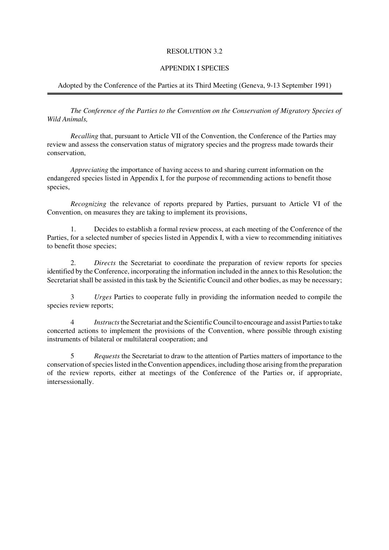### RESOLUTION 3.2

## APPENDIX I SPECIES

## Adopted by the Conference of the Parties at its Third Meeting (Geneva, 9-13 September 1991)

*The Conference of the Parties to the Convention on the Conservation of Migratory Species of Wild Animals,*

*Recalling* that, pursuant to Article VII of the Convention, the Conference of the Parties may review and assess the conservation status of migratory species and the progress made towards their conservation,

*Appreciating* the importance of having access to and sharing current information on the endangered species listed in Appendix I, for the purpose of recommending actions to benefit those species,

*Recognizing* the relevance of reports prepared by Parties, pursuant to Article VI of the Convention, on measures they are taking to implement its provisions,

1. Decides to establish a formal review process, at each meeting of the Conference of the Parties, for a selected number of species listed in Appendix I, with a view to recommending initiatives to benefit those species;

2. *Directs* the Secretariat to coordinate the preparation of review reports for species identified by the Conference, incorporating the information included in the annex to this Resolution; the Secretariat shall be assisted in this task by the Scientific Council and other bodies, as may be necessary;

3 *Urges* Parties to cooperate fully in providing the information needed to compile the species review reports;

4 *Instructs* the Secretariat and the Scientific Council to encourage and assist Parties to take concerted actions to implement the provisions of the Convention, where possible through existing instruments of bilateral or multilateral cooperation; and

5 *Requests* the Secretariat to draw to the attention of Parties matters of importance to the conservation of species listed in the Convention appendices, including those arising from the preparation of the review reports, either at meetings of the Conference of the Parties or, if appropriate, intersessionally.